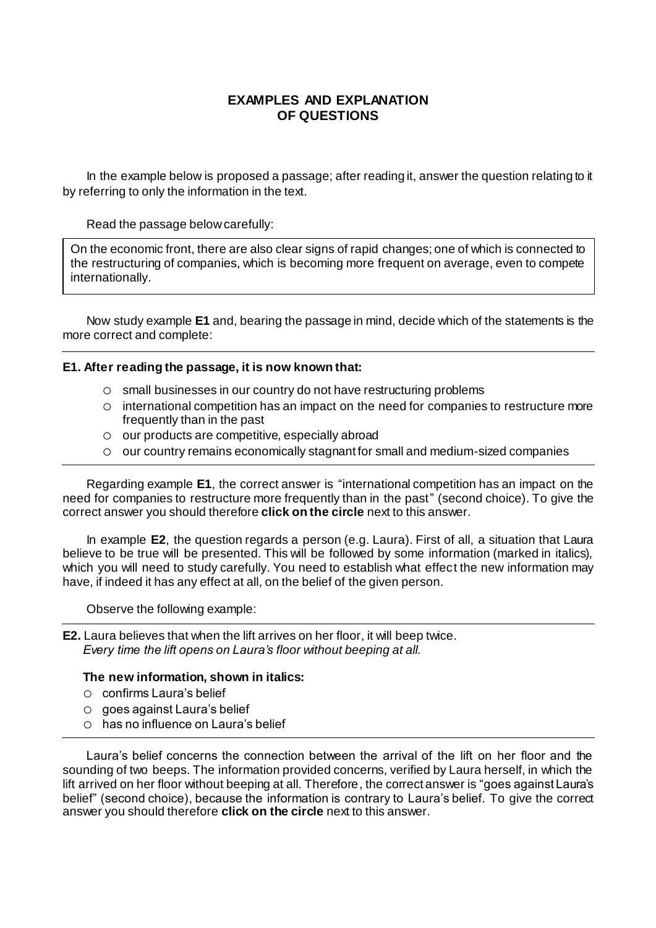## **EXAMPLES AND EXPLANATION OF QUESTIONS**

In the example below is proposed a passage; after reading it, answer the question relating to it by referring to only the information in the text.

Read the passage below carefully:

On the economic front, there are also clear signs of rapid changes; one of which is connected to the restructuring of companies, which is becoming more frequent on average, even to compete internationally.

Now study example **E1** and, bearing the passage in mind, decide which of the statements is the more correct and complete:

## **E1. After reading the passage, it is now known that:**

- o small businesses in our country do not have restructuring problems
- o international competition has an impact on the need for companies to restructure more frequently than in the past
- o our products are competitive, especially abroad
- $\circ$  our country remains economically stagnant for small and medium-sized companies

Regarding example **E1**, the correct answer is "international competition has an impact on the need for companies to restructure more frequently than in the past" (second choice). To give the correct answer you should therefore **click on the circle** next to this answer.

In example **E2**, the question regards a person (e.g. Laura). First of all, a situation that Laura believe to be true will be presented. This will be followed by some information (marked in italics), which you will need to study carefully. You need to establish what effect the new information may have, if indeed it has any effect at all, on the belief of the given person.

Observe the following example:

**E2.** Laura believes that when the lift arrives on her floor, it will beep twice. *Every time the lift opens on Laura's floor without beeping at all.*

## **The new information, shown in italics:**

- o confirms Laura's belief
- o goes against Laura's belief
- o has no influence on Laura's belief

Laura's belief concerns the connection between the arrival of the lift on her floor and the sounding of two beeps. The information provided concerns, verified by Laura herself, in which the lift arrived on her floor without beeping at all. Therefore, the correct answer is "goes against Laura's belief" (second choice), because the information is contrary to Laura's belief. To give the correct answer you should therefore **click on the circle** next to this answer.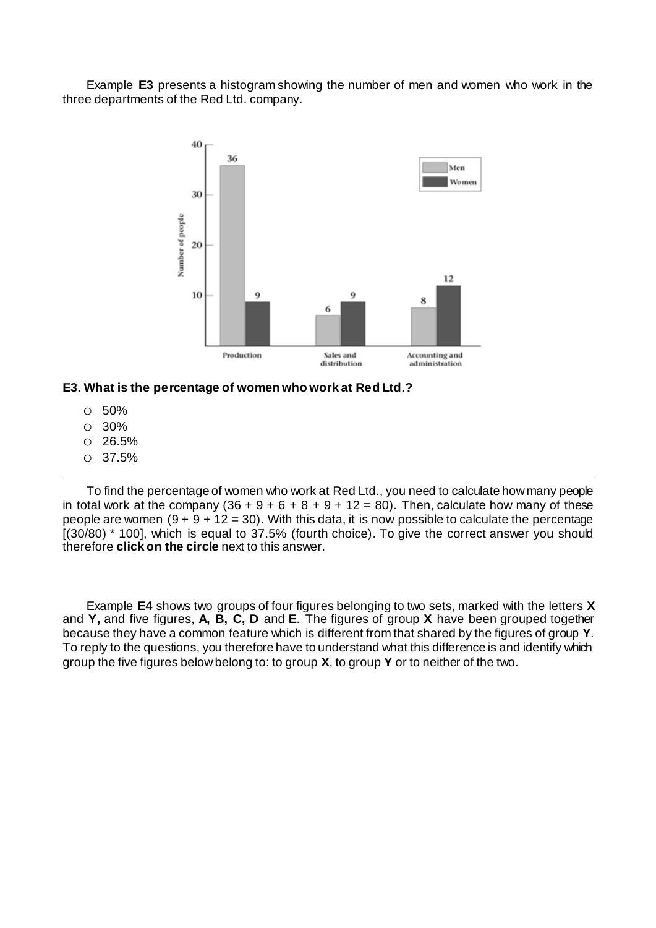Example **E3** presents a histogram showing the number of men and women who work in the three departments of the Red Ltd. company.



**E3. What is the percentage of women who work at Red Ltd.?**

- o 50%
- o 30%
- o 26.5%
- o 37.5%

To find the percentage of women who work at Red Ltd., you need to calculate how many people in total work at the company  $(36 + 9 + 6 + 8 + 9 + 12 = 80)$ . Then, calculate how many of these people are women  $(9 + 9 + 12 = 30)$ . With this data, it is now possible to calculate the percentage [(30/80) \* 100], which is equal to 37.5% (fourth choice). To give the correct answer you should therefore **click on the circle** next to this answer.

Example **E4** shows two groups of four figures belonging to two sets, marked with the letters **X**  and **Y,** and five figures, **A, B, C, D** and **E**. The figures of group **X** have been grouped together because they have a common feature which is different from that shared by the figures of group **Y**. To reply to the questions, you therefore have to understand what this difference is and identify which group the five figures below belong to: to group **X**, to group **Y** or to neither of the two.